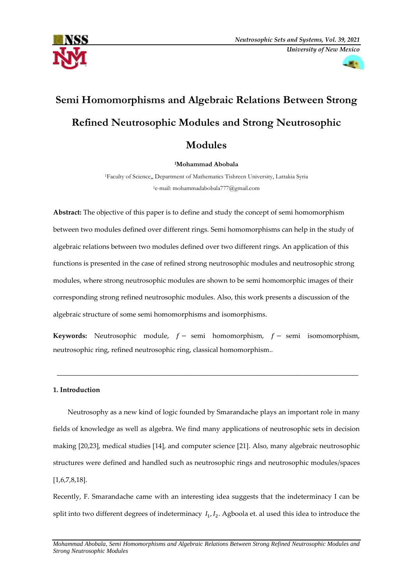



# **Semi Homomorphisms and Algebraic Relations Between Strong Refined Neutrosophic Modules and Strong Neutrosophic**

# **Modules**

**<sup>1</sup>Mohammad Abobala**

<sup>1</sup>Faculty of Science,, Department of Mathematics Tishreen University, Lattakia Syria <sup>1</sup>e-mail: [mohammadabobala777@gmail.com](mailto:mohammadabobala777@gmail.com)

**Abstract:** The objective of this paper is to define and study the concept of semi homomorphism between two modules defined over different rings. Semi homomorphisms can help in the study of algebraic relations between two modules defined over two different rings. An application of this functions is presented in the case of refined strong neutrosophic modules and neutrosophic strong modules, where strong neutrosophic modules are shown to be semi homomorphic images of their corresponding strong refined neutrosophic modules. Also, this work presents a discussion of the algebraic structure of some semi homomorphisms and isomorphisms.

**Keywords:** Neutrosophic module,  $f -$ semi homomorphism,  $f -$ semi isomomorphism, neutrosophic ring, refined neutrosophic ring, classical homomorphism..

\_\_\_\_\_\_\_\_\_\_\_\_\_\_\_\_\_\_\_\_\_\_\_\_\_\_\_\_\_\_\_\_\_\_\_\_\_\_\_\_\_\_\_\_\_\_\_\_\_\_\_\_\_\_\_\_\_\_\_\_\_\_\_\_\_\_\_\_\_\_\_\_\_\_\_\_\_\_\_\_\_\_\_\_\_\_\_

# **1. Introduction**

Neutrosophy as a new kind of logic founded by Smarandache plays an important role in many fields of knowledge as well as algebra. We find many applications of neutrosophic sets in decision making [20,23], medical studies [14], and computer science [21]. Also, many algebraic neutrosophic structures were defined and handled such as neutrosophic rings and neutrosophic modules/spaces [1,6,7,8,18].

Recently, F. Smarandache came with an interesting idea suggests that the indeterminacy I can be split into two different degrees of indeterminacy  $I_1, I_2$ . Agboola et. al used this idea to introduce the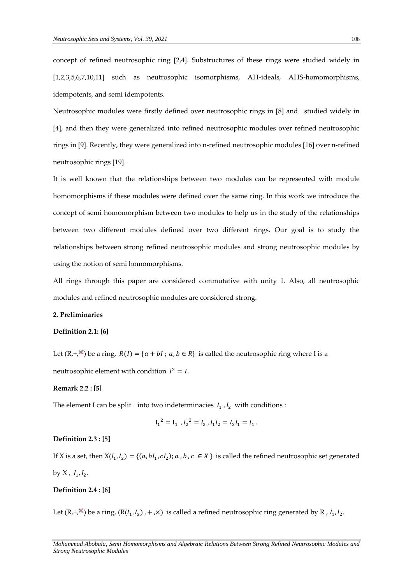concept of refined neutrosophic ring [2,4]. Substructures of these rings were studied widely in [1,2,3,5,6,7,10,11] such as neutrosophic isomorphisms, AH-ideals, AHS-homomorphisms, idempotents, and semi idempotents.

Neutrosophic modules were firstly defined over neutrosophic rings in [8] and studied widely in [4], and then they were generalized into refined neutrosophic modules over refined neutrosophic rings in [9]. Recently, they were generalized into n-refined neutrosophic modules [16] over n-refined neutrosophic rings [19].

It is well known that the relationships between two modules can be represented with module homomorphisms if these modules were defined over the same ring. In this work we introduce the concept of semi homomorphism between two modules to help us in the study of the relationships between two different modules defined over two different rings. Our goal is to study the relationships between strong refined neutrosophic modules and strong neutrosophic modules by using the notion of semi homomorphisms.

All rings through this paper are considered commutative with unity 1. Also, all neutrosophic modules and refined neutrosophic modules are considered strong.

# **2. Preliminaries**

# **Definition 2.1: [6]**

Let  $(R, +, \times)$  be a ring,  $R(I) = \{a + bl : a, b \in R\}$  is called the neutrosophic ring where I is a neutrosophic element with condition  $I^2 = I$ .

#### **Remark 2.2 : [5]**

The element I can be split into two indeterminacies  $I_1$ ,  $I_2$  with conditions :

$$
I_1^2 = I_1, I_2^2 = I_2, I_1 I_2 = I_2 I_1 = I_1.
$$

# **Definition 2.3 : [5]**

If X is a set, then  $X(I_1, I_2) = \{(a, bl_1, cl_2) : a, b, c \in X\}$  is called the refined neutrosophic set generated by X,  $I_1, I_2$ .

# **Definition 2.4 : [6]**

Let  $(R, +, \times)$  be a ring,  $(R(I_1, I_2), +, \times)$  is called a refined neutrosophic ring generated by R ,  $I_1, I_2$ .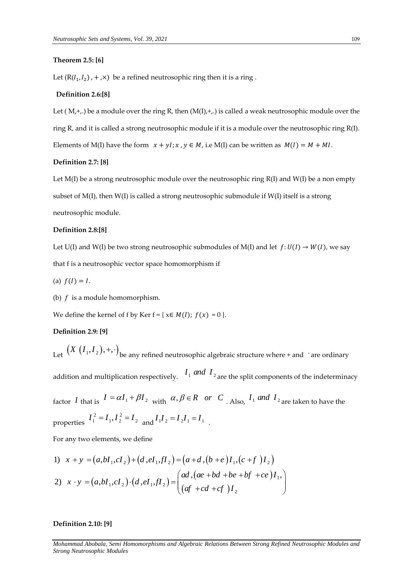# **Theorem 2.5: [6]**

Let  $(R(I_1, I_2)$ , +, $\times$ ) be a refined neutrosophic ring then it is a ring.

# **Definition 2.6:[8]**

Let  $(M,+,.)$  be a module over the ring R, then  $(M(I),+,)$  is called a weak neutrosophic module over the ring R, and it is called a strong neutrosophic module if it is a module over the neutrosophic ring  $R(I)$ . Elements of M(I) have the form  $x + yI$ ;  $x, y \in M$ , i.e M(I) can be written as  $M(I) = M + MI$ .

# **Definition 2.7: [8]**

Let  $M(I)$  be a strong neutrosophic module over the neutrosophic ring  $R(I)$  and  $W(I)$  be a non empty subset of  $M(I)$ , then  $W(I)$  is called a strong neutrosophic submodule if  $W(I)$  itself is a strong neutrosophic module.

# **Definition 2.8:[8]**

Let U(I) and W(I) be two strong neutrosophic submodules of M(I) and let  $f:U(I) \rightarrow W(I)$ , we say that f is a neutrosophic vector space homomorphism if

- (a)  $f(I) = I$ .
- (b)  $f$  is a module homomorphism.

We define the kernel of f by Ker  $f = \{ x \in M(I); f(x) = 0 \}.$ 

#### **Definition 2.9: [9]**

properties

Let  $(X (I_1, I_2), +, \cdot)$  be any refined neutrosophic algebraic structure where + and 'are ordinary addition and multiplication respectively.  $I_1$  *and*  $I_2$  are the split components of the indeterminacy factor *I* that is  $I = \alpha I_1 + \beta I_2$  with  $\alpha, \beta \in R$  *or C* . Also,  $I_1$  *and*  $I_2$  are taken to have the  $I_1^2 = I_1, I_2^2 = I_2$  and  $I_1 I_2 = I_2 I_1 = I_1$ .

For any two elements, we define

For any two elements, we define  
\n1) 
$$
x + y = (a, bI_1, cI_2) + (d, eI_1, fI_2) = (a + d, (b + e)I_1, (c + f)I_2)
$$
  
\n2)  $x \cdot y = (a, bI_1, cI_2) \cdot (d, eI_1, fI_2) = \begin{pmatrix} ad, (ae + bd + be + bf + ce)I_1, \\ (af + cd + cf)I_2 \end{pmatrix}$ 

# **Definition 2.10: [9]**

*Mohammad Abobala, Semi Homomorphisms and Algebraic Relations Between Strong Refined Neutrosophic Modules and Strong Neutrosophic Modules*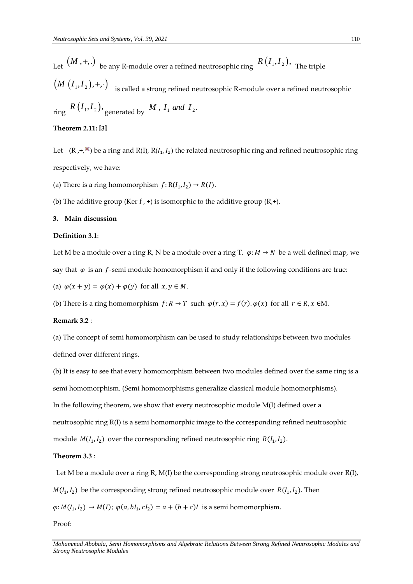Let  $(M, +, .)$  be any R-module over a refined neutrosophic ring  $R$   $(I_1, I_2),$  The triple

 $\left(M\left(I_1, I_2\right), +, \cdot\right)$  is called a strong refined neutrosophic R-module over a refined neutrosophic

 $r$   $R$   $(I_1, I_2)$ ,  $q$  enerated by  $M$  ,  $I_1$  and  $I_2$ .

# **Theorem 2.11: [3]**

Let  $(R, +, \times)$  be a ring and R(I), R( $I_1, I_2$ ) the related neutrosophic ring and refined neutrosophic ring respectively, we have:

(a) There is a ring homomorphism  $f: R(I_1, I_2) \to R(I)$ .

(b) The additive group (Ker f, +) is isomorphic to the additive group  $(R,+)$ .

# **3. Main discussion**

#### **Definition 3.1**:

Let M be a module over a ring R, N be a module over a ring T,  $\varphi$ :  $M \to N$  be a well defined map, we say that  $\varphi$  is an f-semi module homomorphism if and only if the following conditions are true:

(a)  $\varphi(x + y) = \varphi(x) + \varphi(y)$  for all  $x, y \in M$ .

(b) There is a ring homomorphism  $f: R \to T$  such  $\varphi(r, x) = f(r) \cdot \varphi(x)$  for all  $r \in R$ ,  $x \in M$ .

#### **Remark 3.2** :

(a) The concept of semi homomorphism can be used to study relationships between two modules defined over different rings.

(b) It is easy to see that every homomorphism between two modules defined over the same ring is a semi homomorphism. (Semi homomorphisms generalize classical module homomorphisms). In the following theorem, we show that every neutrosophic module M(I) defined over a neutrosophic ring R(I) is a semi homomorphic image to the corresponding refined neutrosophic module  $M(I_1, I_2)$  over the corresponding refined neutrosophic ring  $R(I_1, I_2)$ .

# **Theorem 3.3** :

Let M be a module over a ring R,  $M(I)$  be the corresponding strong neutrosophic module over  $R(I)$ ,  $M(I_1, I_2)$  be the corresponding strong refined neutrosophic module over  $R(I_1, I_2)$ . Then  $\varphi$ :  $M(I_1, I_2) \rightarrow M(I)$ ;  $\varphi(a, bl_1, cl_2) = a + (b + c)I$  is a semi homomorphism.

Proof: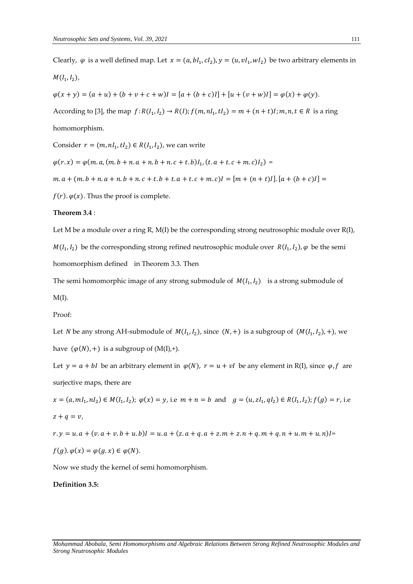Clearly,  $\varphi$  is a well defined map. Let  $x = (a, bl_1, cl_2), y = (u, vl_1, wl_2)$  be two arbitrary elements in  $M(I_1, I_2)$ ,  $\varphi(x + y) = (a + u) + (b + v + c + w)I = [a + (b + c)I] + [u + (v + w)I] = \varphi(x) + \varphi(y).$ According to [3], the map  $f: R(I_1, I_2) \to R(I); f(m, nI_1, tI_2) = m + (n + t)I; m, n, t \in R$  is a ring homomorphism. Consider  $r = (m, nI_1, tI_2) \in R(I_1, I_2)$ , we can write  $\varphi(r,x) = \varphi(m, a, (m.b + n.a + n.b + n.c + t.b)I_1, (t.a + t.c + m.c)I_2)$  $m \cdot a + (m \cdot b + n \cdot a + n \cdot b + n \cdot c + t \cdot b + t \cdot a + t \cdot c + m \cdot c) = [m + (n + t)I] \cdot [a + (b + c)I] =$ 

 $f(r)$ .  $\varphi(x)$ . Thus the proof is complete.

# **Theorem 3.4** :

Let M be a module over a ring R, M(I) be the corresponding strong neutrosophic module over R(I),  $M(I_1, I_2)$  be the corresponding strong refined neutrosophic module over  $R(I_1, I_2)$ ,  $\varphi$  be the semi homomorphism defined in Theorem 3.3. Then

The semi homomorphic image of any strong submodule of  $M(I_1, I_2)$  is a strong submodule of

 $M(I)$ .

Proof:

Let *N* be any strong AH-submodule of  $M(I_1, I_2)$ , since  $(N, +)$  is a subgroup of  $(M(I_1, I_2), +)$ , we have  $(\varphi(N),+)$  is a subgroup of  $(M(I),+)$ .

Let  $y = a + bI$  be an arbitrary element in  $\varphi(N)$ ,  $r = u + vI$  be any element in R(I), since  $\varphi$ ,  $f$  are surjective maps, there are

 $x = (a, ml_1, nl_2) \in M(I_1, I_2); \varphi(x) = y$ , i.e  $m + n = b$  and  $g = (u, zI_1, qI_2) \in R(I_1, I_2); f(g) = r$ , i.e  $z + q = v$ .

 $r. y = u. a + (v. a + v. b + u. b)I = u. a + (z. a + q. a + z. m + z. n + q. m + q. n + u. m + u. n)I =$ 

$$
f(g).\varphi(x) = \varphi(g.x) \in \varphi(N).
$$

Now we study the kernel of semi homomorphism.

**Definition 3.5:**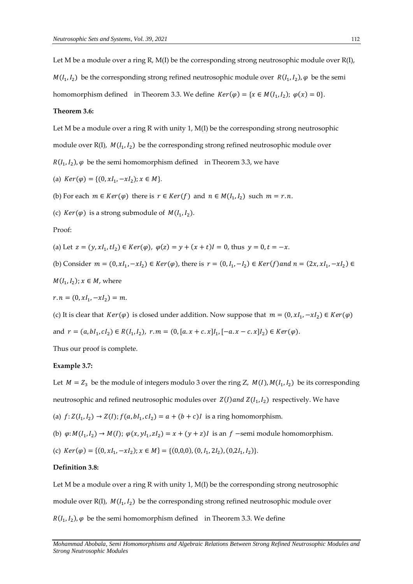Let M be a module over a ring R,  $M(I)$  be the corresponding strong neutrosophic module over  $R(I)$ ,  $M(I_1, I_2)$  be the corresponding strong refined neutrosophic module over  $R(I_1, I_2)$ ,  $\varphi$  be the semi homomorphism defined in Theorem 3.3. We define  $Ker(\varphi) = \{x \in M(I_1, I_2); \varphi(x) = 0\}.$ 

# **Theorem 3.6:**

Let M be a module over a ring R with unity 1,  $M(I)$  be the corresponding strong neutrosophic module over  $R(I)$ ,  $M(I_1, I_2)$  be the corresponding strong refined neutrosophic module over

 $R(I_1, I_2)$ ,  $\varphi$  be the semi homomorphism defined in Theorem 3.3, we have

(a) 
$$
Ker(\varphi) = \{(0, xI_1, -xI_2); x \in M\}.
$$

(b) For each  $m \in Ker(\varphi)$  there is  $r \in Ker(f)$  and  $n \in M(I_1, I_2)$  such  $m = r.n$ .

(c)  $Ker(\varphi)$  is a strong submodule of  $M(I_1, I_2)$ .

Proof:

(a) Let  $z = (y, xI_1, tI_2) \in Ker(\varphi)$ ,  $\varphi(z) = y + (x + t)I = 0$ , thus  $y = 0, t = -x$ .

(b) Consider  $m = (0, xI_1, -xI_2) \in Ker(\varphi)$ , there is  $r = (0, I_1, -I_2) \in Ker(f)$  and  $n = (2x, xI_1, -xI_2) \in Ker(f)$ 

 $M(I_1,I_2)$ ;  $x \in M$ , where

$$
r.n = (0, xI_1, -xI_2) = m.
$$

(c) It is clear that  $Ker(\varphi)$  is closed under addition. Now suppose that  $m = (0, xI_1, -xI_2) \in Ker(\varphi)$ and  $r = (a, bl_1, cl_2) \in R(I_1, I_2), r.m = (0, [a.x + c.x]I_1, [-a.x - c.x]I_2) \in Ker(\varphi)$ .

Thus our proof is complete.

# **Example 3.7:**

Let  $M = Z_3$  be the module of integers modulo 3 over the ring Z,  $M(I)$ ,  $M(I_1, I_2)$  be its corresponding neutrosophic and refined neutrosophic modules over  $Z(I)$  and  $Z(I_1,I_2)$  respectively. We have

(a)  $f: Z(I_1, I_2) \to Z(I); f(a, bl_1, cl_2) = a + (b + c)I$  is a ring homomorphism.

- (b)  $\varphi: M(I_1, I_2) \to M(I); \varphi(x, yI_1, zI_2) = x + (y + z)I$  is an  $f$  -semi module homomorphism.
- (c)  $Ker(\varphi) = \{(0, xI_1, -xI_2); x \in M\} = \{(0,0,0), (0, I_1, 2I_2), (0, 2I_1, I_2)\}.$

#### **Definition 3.8:**

Let M be a module over a ring R with unity 1,  $M(I)$  be the corresponding strong neutrosophic module over  $R(I)$ ,  $M(I_1, I_2)$  be the corresponding strong refined neutrosophic module over  $R(I_1, I_2)$ ,  $\varphi$  be the semi homomorphism defined in Theorem 3.3. We define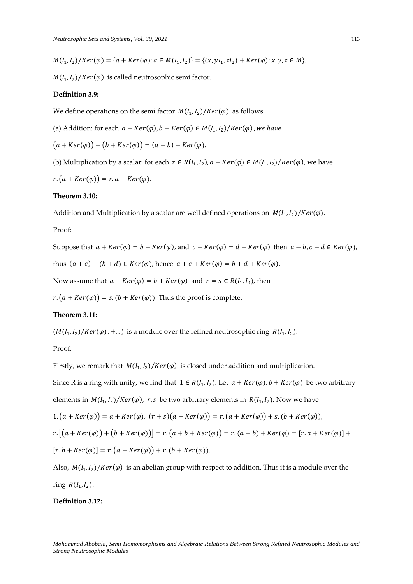$M(I_1, I_2)/Ker(\varphi) = \{a + Ker(\varphi); a \in M(I_1, I_2)\} = \{(x, yI_1, zI_2) + Ker(\varphi); x, y, z \in M\}.$ 

 $M(I_1, I_2)/Ker(\varphi)$  is called neutrosophic semi factor.

#### **Definition 3.9:**

We define operations on the semi factor  $\mathit{M}(I_1,I_2)/\mathit{Ker}(\varphi)$  as follows:

(a) Addition: for each  $a + Ker(\varphi)$ ,  $b + Ker(\varphi) \in M(I_1, I_2) / Ker(\varphi)$  , we have

 $(a + Ker(\varphi)) + (b + Ker(\varphi)) = (a + b) + Ker(\varphi).$ 

(b) Multiplication by a scalar: for each  $r \in R(I_1, I_2)$ ,  $a + Ker(\varphi) \in M(I_1, I_2)$ /Ker $(\varphi)$ , we have

 $r.(a + Ker(\varphi)) = r.a + Ker(\varphi).$ 

# **Theorem 3.10:**

Addition and Multiplication by a scalar are well defined operations on  $M(I_1, I_2)/Ker(\varphi)$ .

#### Proof:

Suppose that  $a + Ker(\varphi) = b + Ker(\varphi)$ , and  $c + Ker(\varphi) = d + Ker(\varphi)$  then  $a - b, c - d \in Ker(\varphi)$ , thus  $(a + c) - (b + d) \in Ker(\varphi)$ , hence  $a + c + Ker(\varphi) = b + d + Ker(\varphi)$ .

Now assume that  $a + Ker(\varphi) = b + Ker(\varphi)$  and  $r = s \in R(I_1, I_2)$ , then

 $r \cdot (a + Ker(\varphi)) = s \cdot (b + Ker(\varphi))$ . Thus the proof is complete.

# **Theorem 3.11:**

 $(M(I_1, I_2)/Ker(\varphi)$ , +, .) is a module over the refined neutrosophic ring  $R(I_1, I_2)$ .

# Proof:

Firstly, we remark that  $M(I_1, I_2)/Ker(\varphi)$  is closed under addition and multiplication. Since R is a ring with unity, we find that  $1 \in R(I_1, I_2)$ . Let  $a + Ker(\varphi)$ ,  $b + Ker(\varphi)$  be two arbitrary elements in  $M(I_1, I_2)/Ker(\varphi)$ , r, s be two arbitrary elements in  $R(I_1, I_2)$ . Now we have  $1.(a + Ker(\varphi)) = a + Ker(\varphi), (r + s)(a + Ker(\varphi)) = r.(a + Ker(\varphi)) + s.(b + Ker(\varphi)),$  $r.\left[(a+Ker(\varphi)) + (b+Ker(\varphi))\right] = r.(a + b + Ker(\varphi)) = r.(a + b) + Ker(\varphi) = [r.a + Ker(\varphi)] +$  $[r.b + Ker(\varphi)] = r.(a + Ker(\varphi)) + r.(b + Ker(\varphi)).$ 

Also,  $M(I_1, I_2)/Ker(\varphi)$  is an abelian group with respect to addition. Thus it is a module over the ring  $R(I_1, I_2)$ .

# **Definition 3.12:**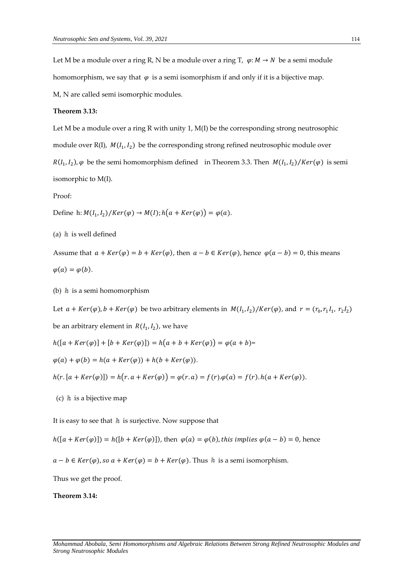Let M be a module over a ring R, N be a module over a ring T,  $\varphi$ :  $M \to N$  be a semi module homomorphism, we say that  $\varphi$  is a semi isomorphism if and only if it is a bijective map.

M, N are called semi isomorphic modules.

# **Theorem 3.13:**

Let M be a module over a ring R with unity 1,  $M(I)$  be the corresponding strong neutrosophic module over  $R(I)$ ,  $M(I_1, I_2)$  be the corresponding strong refined neutrosophic module over  $R(I_1, I_2)$ ,  $\varphi$  be the semi homomorphism defined in Theorem 3.3. Then  $M(I_1, I_2)/Ker(\varphi)$  is semi isomorphic to M(I).

Proof:

Define h:  $M(I_1, I_2)/Ker(\varphi) \to M(I)$ ;  $h(a+Ker(\varphi)) = \varphi(a)$ .

(a)  $h$  is well defined

Assume that  $a + Ker(\varphi) = b + Ker(\varphi)$ , then  $a - b \in Ker(\varphi)$ , hence  $\varphi(a - b) = 0$ , this means  $\varphi(a) = \varphi(b).$ 

(b)  $h$  is a semi homomorphism

Let  $a + Ker(\varphi)$ ,  $b + Ker(\varphi)$  be two arbitrary elements in  $M(I_1, I_2)/Ker(\varphi)$ , and  $r = (r_0, r_1I_1, r_2I_2)$ 

be an arbitrary element in  $R(I_1,I_2)$ , we have

 $h([a + Ker(\varphi)] + [b + Ker(\varphi)]) = h(a + b + Ker(\varphi)) = \varphi(a + b) =$ 

 $\varphi(a) + \varphi(b) = h(a + Ker(\varphi)) + h(b + Ker(\varphi)).$ 

 $h(r. [a + Ker(\varphi)]) = h(r. a + Ker(\varphi)) = \varphi(r. a) = f(r). \varphi(a) = f(r). h(a + Ker(\varphi)).$ 

(c)  $\boldsymbol{h}$  is a bijective map

It is easy to see that  $h$  is surjective. Now suppose that

$$
h([a + Ker(\varphi)]) = h([b + Ker(\varphi)]
$$
), then  $\varphi(a) = \varphi(b)$ , this implies  $\varphi(a - b) = 0$ , hence

 $a - b \in Ker(\varphi)$ , so  $a + Ker(\varphi) = b + Ker(\varphi)$ . Thus  $h$  is a semi isomorphism.

Thus we get the proof.

*Strong Neutrosophic Modules*

**Theorem 3.14:**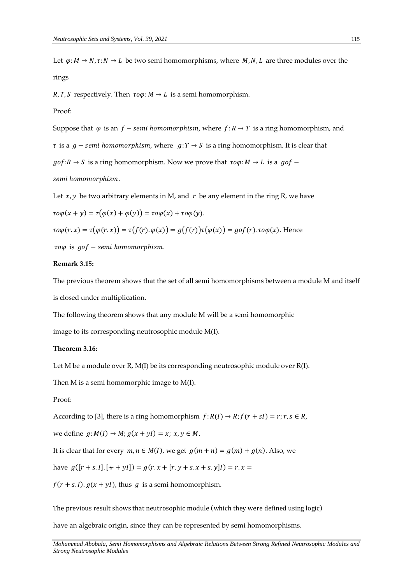Let  $\varphi: M \to N$ ,  $\tau: N \to L$  be two semi homomorphisms, where M, N, L are three modules over the rings

 $R, T, S$  respectively. Then  $\tau \circ \varphi : M \to L$  is a semi homomorphism.

# Proof:

Suppose that  $\varphi$  is an  $f$  – *semi homomorphism*, where  $f: R \to T$  is a ring homomorphism, and  $\tau$  is a  $g$  – semi homomorphism, where  $g: T \to S$  is a ring homomorphism. It is clear that  $g \circ f : R \to S$  is a ring homomorphism. Now we prove that  $\tau \circ \varphi : M \to L$  is a  $g \circ f$  – semi homomorphism.

Let  $x, y$  be two arbitrary elements in M, and  $r$  be any element in the ring R, we have

$$
\tau o\varphi(x+y)=\tau\big(\varphi(x)+\varphi(y)\big)=\tau o\varphi(x)+\tau o\varphi(y).
$$

$$
\tau o\varphi(r,x) = \tau(\varphi(r,x)) = \tau(f(r),\varphi(x)) = g(f(r))\tau(\varphi(x)) = gof(r),\tau o\varphi(x).
$$
 Hence

 $\tau o\varphi$  is  $g \circ f$  – semi homomorphism.

### **Remark 3.15:**

The previous theorem shows that the set of all semi homomorphisms between a module M and itself is closed under multiplication.

The following theorem shows that any module M will be a semi homomorphic

image to its corresponding neutrosophic module M(I).

# **Theorem 3.16:**

Let M be a module over R,  $M(I)$  be its corresponding neutrosophic module over  $R(I)$ .

Then M is a semi homomorphic image to M(I).

Proof:

According to [3], there is a ring homomorphism  $f: R(I) \to R; f(r + sI) = r; r, s \in R$ ,

we define  $g: M(I) \rightarrow M$ ;  $g(x + yI) = x$ ;  $x, y \in M$ .

It is clear that for every  $m, n \in M(I)$ , we get  $g(m + n) = g(m) + g(n)$ . Also, we

have  $g([r + s.1], [\mathbf{x} + yI]) = g(r \cdot x + [r \cdot y + s \cdot x + s \cdot y]I) = r \cdot x =$ 

 $f(r + s.1)$ .  $g(x + yI)$ , thus g is a semi homomorphism.

The previous result shows that neutrosophic module (which they were defined using logic)

have an algebraic origin, since they can be represented by semi homomorphisms.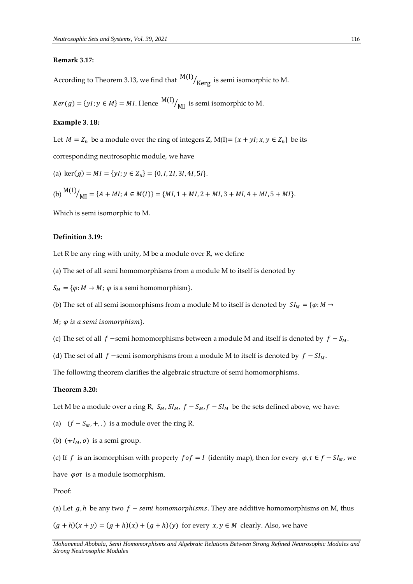#### **Remark 3.17:**

According to Theorem 3.13, we find that  $\frac{{\sf M}({\sf I})}{\sf Kerg}$  is semi isomorphic to M.

 $Ker(g) = \{yl; y \in M\} = MI$ . Hence  $\frac{M(I)}{M(I)}$  is semi isomorphic to M.

#### **Example 3.18:**

Let  $M = Z_6$  be a module over the ring of integers Z, M(I) = { $x + yI$ ;  $x, y \in Z_6$ } be its corresponding neutrosophic module, we have

(a) 
$$
\text{ker}(g) = MI = \{yI; y \in Z_6\} = \{0, I, 2I, 3I, 4I, 5I\}.
$$

(b) 
$$
^{M(I)}/_{MI} = \{A + MI; A \in M(I)\} = \{MI, 1 + MI, 2 + MI, 3 + MI, 4 + MI, 5 + MI\}.
$$

Which is semi isomorphic to M.

#### **Definition 3.19:**

Let R be any ring with unity, M be a module over R, we define

(a) The set of all semi homomorphisms from a module M to itself is denoted by

 $S_M = \{\varphi: M \to M; \varphi \text{ is a semi homomorphism}\}.$ 

(b) The set of all semi isomorphisms from a module M to itself is denoted by  $SI_M = \{\varphi : M \to \varphi\}$ 

- $M$ ;  $\varphi$  is a semi isomorphism}.
- (c) The set of all  $f$  –semi homomorphisms between a module M and itself is denoted by  $f S_M$ .

(d) The set of all  $f$  –semi isomorphisms from a module M to itself is denoted by  $f - SI_M$ .

The following theorem clarifies the algebraic structure of semi homomorphisms.

# **Theorem 3.20:**

Let M be a module over a ring R,  $S_M$ ,  $SI_M$ ,  $f - S_M$ ,  $f - SI_M$  be the sets defined above, we have:

(a)  $(f - S_M, +,.)$  is a module over the ring R.

(b)  $(\star I_M, o)$  is a semi group.

(c) If f is an isomorphism with property  $f \circ f = I$  (identity map), then for every  $\varphi$ ,  $\tau \in f - S I_M$ , we have  $\varphi$ *ot* is a module isomorphism.

Proof:

(a) Let  $g, h$  be any two  $f$  – semi homomorphisms. They are additive homomorphisms on M, thus  $(g + h)(x + y) = (g + h)(x) + (g + h)(y)$  for every  $x, y \in M$  clearly. Also, we have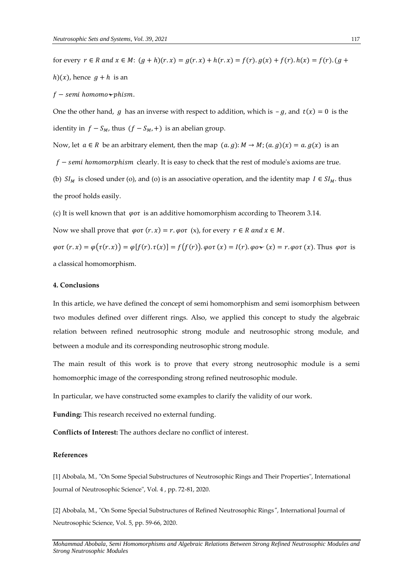for every  $r \in R$  and  $x \in M$ :  $(g+h)(r.x) = g(r.x) + h(r.x) = f(r) \cdot g(x) + f(r) \cdot h(x) = f(r) \cdot (g+h)(r.x)$  $h(x)$ , hence  $g + h$  is an

 $f$  – semi homomo $\neg$ phism.

One the other hand, g has an inverse with respect to addition, which is  $-g$ , and  $t(x) = 0$  is the identity in  $f - S_M$ , thus  $(f - S_M, +)$  is an abelian group.

Now, let  $a \in R$  be an arbitrary element, then the map  $(a, g): M \to M$ ;  $(a, g)(x) = a$ .  $g(x)$  is an

 $f$  – semi homomorphism clearly. It is easy to check that the rest of module's axioms are true.

(b)  $SI_M$  is closed under (o), and (o) is an associative operation, and the identity map  $I \in SI_M$ . thus the proof holds easily.

(c) It is well known that  $\varphi o\tau$  is an additive homomorphism according to Theorem 3.14.

Now we shall prove that  $\varphi$ *ot*  $(r \cdot x) = r \cdot \varphi$ *ot*  $(x)$ *,* for every  $r \in R$  *and*  $x \in M$ *.* 

 $\varphi$ ot  $(r, x) = \varphi(\tau(r, x)) = \varphi(f(r), \tau(x)) = f(f(r))$ .  $\varphi$ ot  $(x) = I(r)$ .  $\varphi$ o $\star$   $(x) = r$ .  $\varphi$ ot  $(x)$ . Thus  $\varphi$ ot is a classical homomorphism.

# **4. Conclusions**

In this article, we have defined the concept of semi homomorphism and semi isomorphism between two modules defined over different rings. Also, we applied this concept to study the algebraic relation between refined neutrosophic strong module and neutrosophic strong module, and between a module and its corresponding neutrosophic strong module.

The main result of this work is to prove that every strong neutrosophic module is a semi homomorphic image of the corresponding strong refined neutrosophic module.

In particular, we have constructed some examples to clarify the validity of our work.

**Funding:** This research received no external funding.

**Conflicts of Interest:** The authors declare no conflict of interest.

#### **References**

[1] Abobala, M*.,* "On Some Special Substructures of Neutrosophic Rings and Their Properties", International Journal of Neutrosophic Science", Vol. 4 , pp. 72-81, 2020.

[2] Abobala, M., "On Some Special Substructures of Refined Neutrosophic Rings*",* International Journal of Neutrosophic Science, Vol. 5, pp. 59-66, 2020.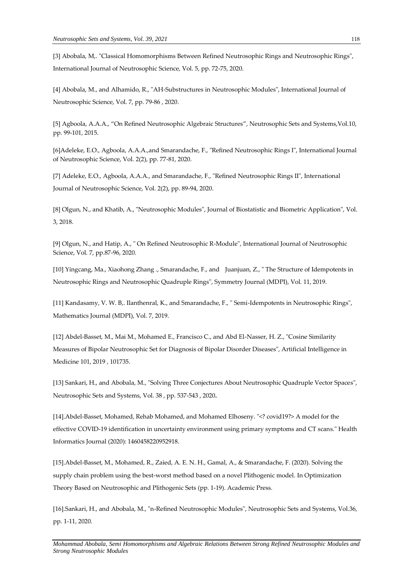[3] Abobala, M,. "Classical Homomorphisms Between Refined Neutrosophic Rings and Neutrosophic Rings", International Journal of Neutrosophic Science, Vol. 5, pp. 72-75, 2020.

[4] Abobala, M., and Alhamido, R., "AH-Substructures in Neutrosophic Modules", International Journal of Neutrosophic Science, Vol. 7, pp. 79-86 , 2020.

[5] Agboola, A.A.A., "On Refined Neutrosophic Algebraic Structures", Neutrosophic Sets and Systems,Vol.10, pp. 99-101, 2015.

[6]Adeleke, E.O., Agboola, A.A.A.,and Smarandache, F., "Refined Neutrosophic Rings I", International Journal of Neutrosophic Science, Vol. 2(2), pp. 77-81, 2020.

[7] Adeleke, E.O., Agboola, A.A.A., and Smarandache, F., "Refined Neutrosophic Rings II", International Journal of Neutrosophic Science, Vol. 2(2), pp. 89-94, 2020.

[8] Olgun, N., and Khatib, A., "Neutrosophic Modules", Journal of Biostatistic and Biometric Application", Vol. 3, 2018.

[9] Olgun, N., and Hatip, A., " On Refined Neutrosophic R-Module", International Journal of Neutrosophic Science, Vol. 7, pp.87-96, 2020.

[10] Yingcang, Ma., Xiaohong Zhang ., Smarandache, F., and Juanjuan, Z., " The Structure of Idempotents in Neutrosophic Rings and Neutrosophic Quadruple Rings", Symmetry Journal (MDPI), Vol. 11, 2019.

[11] Kandasamy, V. W. B,. Ilanthenral, K., and Smarandache, F., " Semi-Idempotents in Neutrosophic Rings", Mathematics Journal (MDPI), Vol. 7, 2019.

[12] Abdel-Basset, M., Mai M., Mohamed E., Francisco C., and Abd El-Nasser, H. Z., "Cosine Similarity Measures of Bipolar Neutrosophic Set for Diagnosis of Bipolar Disorder Diseases", Artificial Intelligence in Medicine 101, 2019 , 101735.

[13] Sankari, H., and Abobala, M., "Solving Three Conjectures About Neutrosophic Quadruple Vector Spaces", Neutrosophic Sets and Systems, Vol. 38 , pp. 537-543 , 2020**.**

[14].Abdel-Basset, Mohamed, Rehab Mohamed, and Mohamed Elhoseny. "<? covid19?> A model for the effective COVID-19 identification in uncertainty environment using primary symptoms and CT scans." Health Informatics Journal (2020): 1460458220952918.

[15].Abdel-Basset, M., Mohamed, R., Zaied, A. E. N. H., Gamal, A., & Smarandache, F. (2020). Solving the supply chain problem using the best-worst method based on a novel Plithogenic model. In Optimization Theory Based on Neutrosophic and Plithogenic Sets (pp. 1-19). Academic Press.

[16].Sankari, H., and Abobala, M., "n-Refined Neutrosophic Modules", Neutrosophic Sets and Systems, Vol.36, pp. 1-11, 2020.